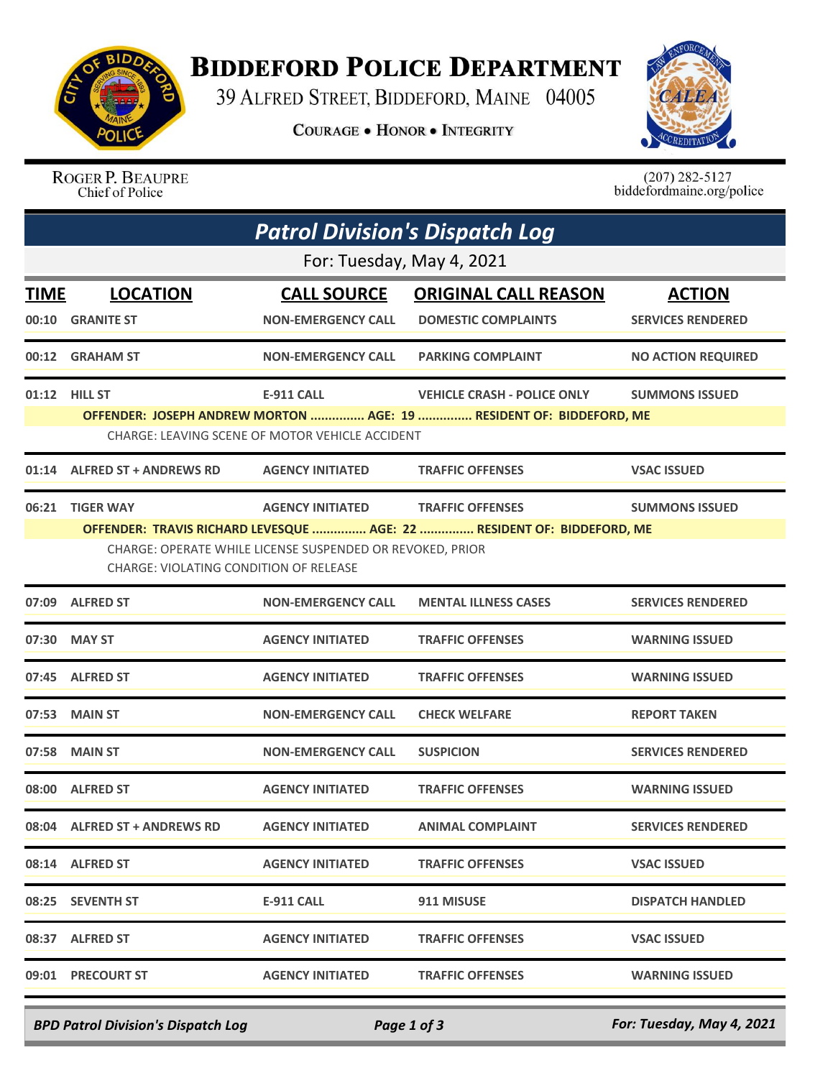

## **BIDDEFORD POLICE DEPARTMENT**

39 ALFRED STREET, BIDDEFORD, MAINE 04005

**COURAGE . HONOR . INTEGRITY** 



ROGER P. BEAUPRE Chief of Police

 $(207)$  282-5127<br>biddefordmaine.org/police

|                           | <b>Patrol Division's Dispatch Log</b>                                                                                                                                                                                                                                            |                                                                      |                                                                                                           |                                           |  |  |  |  |
|---------------------------|----------------------------------------------------------------------------------------------------------------------------------------------------------------------------------------------------------------------------------------------------------------------------------|----------------------------------------------------------------------|-----------------------------------------------------------------------------------------------------------|-------------------------------------------|--|--|--|--|
| For: Tuesday, May 4, 2021 |                                                                                                                                                                                                                                                                                  |                                                                      |                                                                                                           |                                           |  |  |  |  |
| <b>TIME</b>               | <b>LOCATION</b><br>00:10 GRANITE ST                                                                                                                                                                                                                                              | <b>CALL SOURCE</b><br><b>NON-EMERGENCY CALL</b>                      | <b>ORIGINAL CALL REASON</b><br><b>DOMESTIC COMPLAINTS</b>                                                 | <b>ACTION</b><br><b>SERVICES RENDERED</b> |  |  |  |  |
|                           | 00:12 GRAHAM ST                                                                                                                                                                                                                                                                  | <b>NON-EMERGENCY CALL</b>                                            | <b>PARKING COMPLAINT</b>                                                                                  | <b>NO ACTION REQUIRED</b>                 |  |  |  |  |
|                           | 01:12 HILL ST                                                                                                                                                                                                                                                                    | <b>E-911 CALL</b><br>CHARGE: LEAVING SCENE OF MOTOR VEHICLE ACCIDENT | <b>VEHICLE CRASH - POLICE ONLY</b><br>OFFENDER: JOSEPH ANDREW MORTON  AGE: 19  RESIDENT OF: BIDDEFORD, ME | <b>SUMMONS ISSUED</b>                     |  |  |  |  |
|                           | 01:14 ALFRED ST + ANDREWS RD                                                                                                                                                                                                                                                     | <b>AGENCY INITIATED</b>                                              | <b>TRAFFIC OFFENSES</b>                                                                                   | <b>VSAC ISSUED</b>                        |  |  |  |  |
| 06:21                     | <b>TIGER WAY</b><br><b>AGENCY INITIATED</b><br><b>TRAFFIC OFFENSES</b><br><b>SUMMONS ISSUED</b><br>OFFENDER: TRAVIS RICHARD LEVESQUE  AGE: 22  RESIDENT OF: BIDDEFORD, ME<br>CHARGE: OPERATE WHILE LICENSE SUSPENDED OR REVOKED, PRIOR<br>CHARGE: VIOLATING CONDITION OF RELEASE |                                                                      |                                                                                                           |                                           |  |  |  |  |
|                           | 07:09 ALFRED ST                                                                                                                                                                                                                                                                  | <b>NON-EMERGENCY CALL</b>                                            | <b>MENTAL ILLNESS CASES</b>                                                                               | <b>SERVICES RENDERED</b>                  |  |  |  |  |
|                           | 07:30 MAY ST                                                                                                                                                                                                                                                                     | <b>AGENCY INITIATED</b>                                              | <b>TRAFFIC OFFENSES</b>                                                                                   | <b>WARNING ISSUED</b>                     |  |  |  |  |
|                           | 07:45 ALFRED ST                                                                                                                                                                                                                                                                  | <b>AGENCY INITIATED</b>                                              | <b>TRAFFIC OFFENSES</b>                                                                                   | <b>WARNING ISSUED</b>                     |  |  |  |  |
|                           | 07:53 MAIN ST                                                                                                                                                                                                                                                                    | <b>NON-EMERGENCY CALL</b>                                            | <b>CHECK WELFARE</b>                                                                                      | <b>REPORT TAKEN</b>                       |  |  |  |  |
|                           | 07:58 MAIN ST                                                                                                                                                                                                                                                                    | <b>NON-EMERGENCY CALL</b>                                            | <b>SUSPICION</b>                                                                                          | <b>SERVICES RENDERED</b>                  |  |  |  |  |
|                           | 08:00 ALFRED ST                                                                                                                                                                                                                                                                  | <b>AGENCY INITIATED</b>                                              | <b>TRAFFIC OFFENSES</b>                                                                                   | <b>WARNING ISSUED</b>                     |  |  |  |  |
|                           | 08:04 ALFRED ST + ANDREWS RD                                                                                                                                                                                                                                                     | <b>AGENCY INITIATED</b>                                              | <b>ANIMAL COMPLAINT</b>                                                                                   | <b>SERVICES RENDERED</b>                  |  |  |  |  |
|                           | 08:14 ALFRED ST                                                                                                                                                                                                                                                                  | <b>AGENCY INITIATED</b>                                              | <b>TRAFFIC OFFENSES</b>                                                                                   | <b>VSAC ISSUED</b>                        |  |  |  |  |
|                           | 08:25 SEVENTH ST                                                                                                                                                                                                                                                                 | <b>E-911 CALL</b>                                                    | 911 MISUSE                                                                                                | <b>DISPATCH HANDLED</b>                   |  |  |  |  |
|                           | 08:37 ALFRED ST                                                                                                                                                                                                                                                                  | <b>AGENCY INITIATED</b>                                              | <b>TRAFFIC OFFENSES</b>                                                                                   | <b>VSAC ISSUED</b>                        |  |  |  |  |
|                           | 09:01 PRECOURT ST                                                                                                                                                                                                                                                                | <b>AGENCY INITIATED</b>                                              | <b>TRAFFIC OFFENSES</b>                                                                                   | <b>WARNING ISSUED</b>                     |  |  |  |  |

*BPD Patrol Division's Dispatch Log Page 1 of 3 For: Tuesday, May 4, 2021*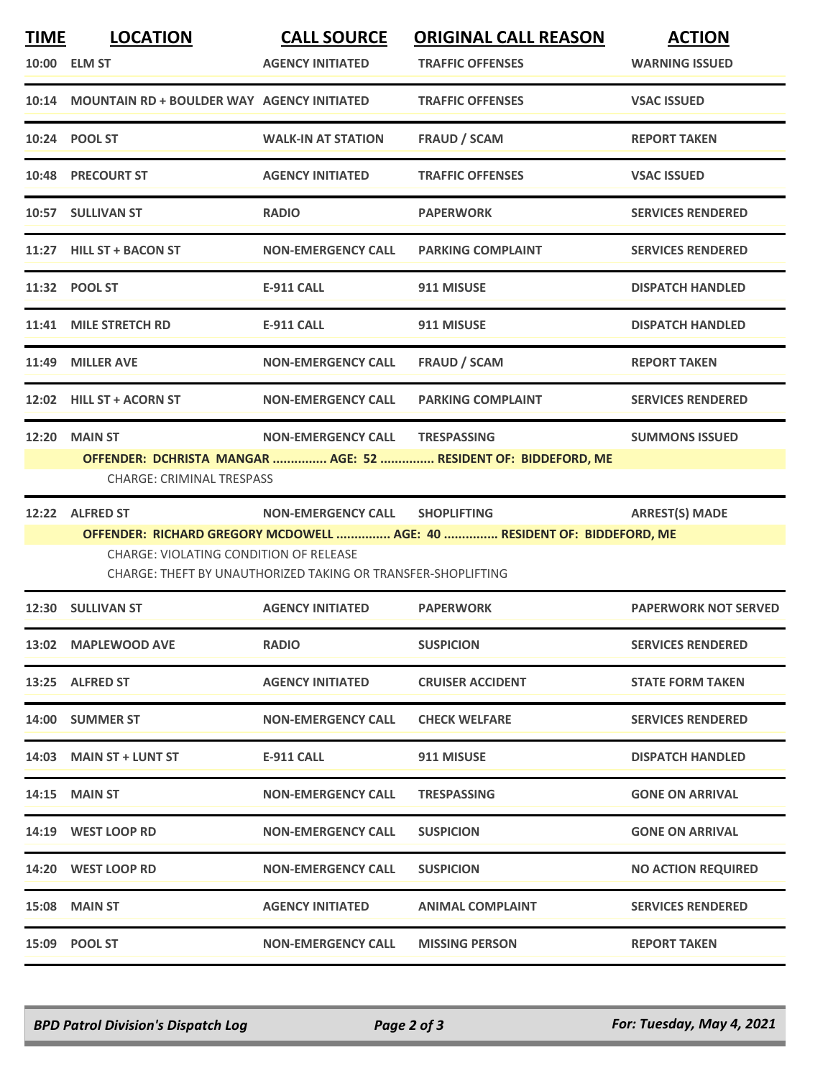| <b>TIME</b> | <b>LOCATION</b><br>10:00 ELM ST                                                                                                                                                          | <b>CALL SOURCE</b><br><b>AGENCY INITIATED</b> | <b>ORIGINAL CALL REASON</b><br><b>TRAFFIC OFFENSES</b>         | <b>ACTION</b><br><b>WARNING ISSUED</b> |  |  |
|-------------|------------------------------------------------------------------------------------------------------------------------------------------------------------------------------------------|-----------------------------------------------|----------------------------------------------------------------|----------------------------------------|--|--|
|             | 10:14 MOUNTAIN RD + BOULDER WAY AGENCY INITIATED                                                                                                                                         |                                               | <b>TRAFFIC OFFENSES</b>                                        | <b>VSAC ISSUED</b>                     |  |  |
|             | 10:24 POOL ST                                                                                                                                                                            | <b>WALK-IN AT STATION</b>                     | <b>FRAUD / SCAM</b>                                            | <b>REPORT TAKEN</b>                    |  |  |
|             | <b>10:48 PRECOURT ST</b>                                                                                                                                                                 | <b>AGENCY INITIATED</b>                       | <b>TRAFFIC OFFENSES</b>                                        | <b>VSAC ISSUED</b>                     |  |  |
|             | 10:57 SULLIVAN ST                                                                                                                                                                        | <b>RADIO</b>                                  | <b>PAPERWORK</b>                                               | <b>SERVICES RENDERED</b>               |  |  |
|             | 11:27 HILL ST + BACON ST                                                                                                                                                                 | <b>NON-EMERGENCY CALL</b>                     | <b>PARKING COMPLAINT</b>                                       | <b>SERVICES RENDERED</b>               |  |  |
|             | 11:32 POOL ST                                                                                                                                                                            | <b>E-911 CALL</b>                             | 911 MISUSE                                                     | <b>DISPATCH HANDLED</b>                |  |  |
|             | 11:41 MILE STRETCH RD                                                                                                                                                                    | <b>E-911 CALL</b>                             | 911 MISUSE                                                     | <b>DISPATCH HANDLED</b>                |  |  |
| 11:49       | <b>MILLER AVE</b>                                                                                                                                                                        | <b>NON-EMERGENCY CALL</b>                     | <b>FRAUD / SCAM</b>                                            | <b>REPORT TAKEN</b>                    |  |  |
|             | 12:02 HILL ST + ACORN ST                                                                                                                                                                 | <b>NON-EMERGENCY CALL</b>                     | <b>PARKING COMPLAINT</b>                                       | <b>SERVICES RENDERED</b>               |  |  |
| 12:20       | <b>MAIN ST</b>                                                                                                                                                                           | NON-EMERGENCY CALL TRESPASSING                |                                                                | <b>SUMMONS ISSUED</b>                  |  |  |
|             | <b>CHARGE: CRIMINAL TRESPASS</b>                                                                                                                                                         |                                               | OFFENDER: DCHRISTA MANGAR  AGE: 52  RESIDENT OF: BIDDEFORD, ME |                                        |  |  |
|             | 12:22 ALFRED ST                                                                                                                                                                          | <b>NON-EMERGENCY CALL</b>                     | <b>SHOPLIFTING</b>                                             | <b>ARREST(S) MADE</b>                  |  |  |
|             | OFFENDER: RICHARD GREGORY MCDOWELL  AGE: 40  RESIDENT OF: BIDDEFORD, ME<br><b>CHARGE: VIOLATING CONDITION OF RELEASE</b><br>CHARGE: THEFT BY UNAUTHORIZED TAKING OR TRANSFER-SHOPLIFTING |                                               |                                                                |                                        |  |  |
|             | 12:30 SULLIVAN ST                                                                                                                                                                        | <b>AGENCY INITIATED</b>                       | <b>PAPERWORK</b>                                               | <b>PAPERWORK NOT SERVED</b>            |  |  |
|             | 13:02 MAPLEWOOD AVE                                                                                                                                                                      | <b>RADIO</b>                                  | <b>SUSPICION</b>                                               | <b>SERVICES RENDERED</b>               |  |  |
|             | 13:25 ALFRED ST                                                                                                                                                                          | <b>AGENCY INITIATED</b>                       | <b>CRUISER ACCIDENT</b>                                        | <b>STATE FORM TAKEN</b>                |  |  |
|             | 14:00 SUMMER ST                                                                                                                                                                          | <b>NON-EMERGENCY CALL</b>                     | <b>CHECK WELFARE</b>                                           | <b>SERVICES RENDERED</b>               |  |  |
|             | 14:03 MAIN ST + LUNT ST                                                                                                                                                                  | E-911 CALL                                    | 911 MISUSE                                                     | <b>DISPATCH HANDLED</b>                |  |  |
|             | <b>14:15 MAIN ST</b>                                                                                                                                                                     | <b>NON-EMERGENCY CALL</b>                     | <b>TRESPASSING</b>                                             | <b>GONE ON ARRIVAL</b>                 |  |  |
|             | 14:19 WEST LOOP RD                                                                                                                                                                       | <b>NON-EMERGENCY CALL</b>                     | <b>SUSPICION</b>                                               | <b>GONE ON ARRIVAL</b>                 |  |  |
|             |                                                                                                                                                                                          | <b>NON-EMERGENCY CALL</b>                     | <b>SUSPICION</b>                                               | <b>NO ACTION REQUIRED</b>              |  |  |
|             | 14:20 WEST LOOP RD                                                                                                                                                                       |                                               |                                                                |                                        |  |  |
|             | <b>15:08 MAIN ST</b>                                                                                                                                                                     | <b>AGENCY INITIATED</b>                       | <b>ANIMAL COMPLAINT</b>                                        | <b>SERVICES RENDERED</b>               |  |  |

*BPD Patrol Division's Dispatch Log Page 2 of 3 For: Tuesday, May 4, 2021*